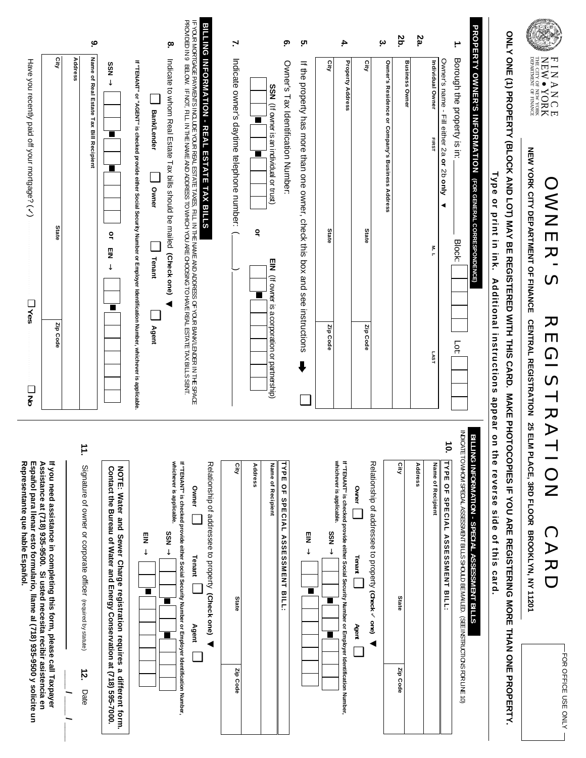| HINANG ER<br>NEW • YORK<br>NEW • YORK<br>$\bigcirc$                                                         |   |
|-------------------------------------------------------------------------------------------------------------|---|
| ⋹<br>Z<br>m<br>$\blacktriangleright$<br>ပာ                                                                  | - |
| $\boldsymbol{\varpi}$<br><b>m</b><br><u>၁</u><br>><br>$\overline{\phantom{0}}$<br>$\overline{\sim}$<br>011V |   |
| C<br>$\blacktriangleright$<br>20<br>$\overline{\phantom{0}}$                                                |   |

FOR OFFICE USE ONLY

 $-$  FOR OFFICE USE ONLY  $-$ 

NEW YORK CITY DEPARTMENT OF FINANCE CENTRAL REGISTRATION 25 ELM PLACE, 3RD FLOOR BROOKLYN, NY 11201 **NEW YORK CITY DEPARTMENT OF FINANCE CENTRAL REGISTRATION 25 ELM PLACE, 3RD FLOOR BROOKLYN, NY 11201**

DEPARTMENT

OF FINANCE

ONLY ONE (1) PROPERTY (BLOCK AND LOT) MAY BE REGISTERED WAKE PHOTOCOPIES IF YOU ARE REGISTERING MORE THAN ONE PROPERTY. **ONLY ONE (1) PROPERTY (BLOCK AND LOT) MAY BE REGISTERED WITH THIS CARD. MAKE PHOTOCOPIES IF YOU ARE REGISTERING MORE THAN ONE PROPERTY.**  Type or print in ink. Additional instructions appear on the reverse side of this card.

| Have you recently paid off your mortgage? (<br><b>D</b> Yes                                                                                                                                                                                                                    | City<br>State<br>Zip Code | ە<br>Name of Real Estate Tax Bill Recipient<br>Address                             | $\overline{5}$ M $\rightarrow$<br>■<br>п<br>٩<br>m<br>Z<br>$\downarrow$                                                                        | PROVIDED IN SECULITITITITY VIE THE NAME AND ADDRESS TO VALGE YOU ARE CHOOSING TO HAVE REAL ESTATE TIXY BILL'S SEXT. IPROVIDED<br>F YOUR MONULER TO LIFT WAS COLOR STATED TO THE SAME VALUE OF THE IS THE IN THE SAME THANGER SOOR TO THAT SERVER THAT A FOOR SPACE THAT A FOOR SPACE THAT COLOR SPACES TO THE SERVER SOOR TO THE SERVER SOOR TO THE SERVER SOOR<br><b>BILLING INFORMATION - REAL ESTATE TAX BILLS</b><br>.ю<br>Indicate to whom Real Extate Tax pills should be mailed (Check one)<br>If "TENANT" or "AGENT" is checked provide either Social Security Number or Employer Identification Number, whichever is applicable.<br>Bank/Lender<br>Owner<br>Tenant<br>Agent | $\mathbf{r}$<br>Indicate owner's daytime telephone number: (<br>▉<br>$\blacksquare$<br>٩ | ္<br>Owner's Tax Identification Number:<br>SSN (If owner is an individual or trust)<br>EIN (If owner is a corporation or partnership) | თ.<br>If the property has more than one owner, check this box and see instructions | 4.<br>ξ<br><b>Property Address</b><br>State<br>Zip Code                                                                                          | <b>City</b><br>State<br>Zip Code                                                       | یہ<br>Owner's Residence or Company's Business Address | 2b.<br><b>Business Owner</b> | 2a.<br>Individual Owner<br>FIRST<br>$\frac{8}{7}$<br>LAST | Owner's name - Fill either 2a or 2b only<br>◀                                            | ÷.<br>Borough the property is in:<br><b>Block:</b><br>БË                                   | PROPERTY OWNER'S INFORMATION (FOR GENERAL CORRESPONDENCE)  | Type or print in ink. Additional instructions appear on |
|--------------------------------------------------------------------------------------------------------------------------------------------------------------------------------------------------------------------------------------------------------------------------------|---------------------------|------------------------------------------------------------------------------------|------------------------------------------------------------------------------------------------------------------------------------------------|--------------------------------------------------------------------------------------------------------------------------------------------------------------------------------------------------------------------------------------------------------------------------------------------------------------------------------------------------------------------------------------------------------------------------------------------------------------------------------------------------------------------------------------------------------------------------------------------------------------------------------------------------------------------------------------|------------------------------------------------------------------------------------------|---------------------------------------------------------------------------------------------------------------------------------------|------------------------------------------------------------------------------------|--------------------------------------------------------------------------------------------------------------------------------------------------|----------------------------------------------------------------------------------------|-------------------------------------------------------|------------------------------|-----------------------------------------------------------|------------------------------------------------------------------------------------------|--------------------------------------------------------------------------------------------|------------------------------------------------------------|---------------------------------------------------------|
| $\Box$<br>ξ<br>Representante que hable Español.<br>If you need assistance in completing this form, please call Taxpayer<br>Español para llenar esto formulario, llame al (718) 935-9500 y solicite un<br>Assistance at (718) 935-9500. Si usted necesita recibir asistencia en |                           | Ξ.<br>Signature of owner or corporate officer (required by statute)<br>12.<br>Date | NOTE: Water and Sewer Charge registration requires a different form.<br>Contact the Bureau of Water and Energy Conservation at (718) 595-7000. | whichever is applicable.<br>If "TENANT" is checked provide either Social Security Number or Employer Identification Number,<br>Relationship of addressee to property (Check one)<br>Owner<br>$+$ NSS<br>픻<br>↓<br>Tenant<br>■<br><b>Agent</b>                                                                                                                                                                                                                                                                                                                                                                                                                                        | City<br>Address<br>State<br>Zip Code                                                     | TYPE OF SPECIAL<br>Name of Recipient<br><b>ASSESSMENT BILL:</b>                                                                       | g<br>$\downarrow$<br>■                                                             | If "TENANT" is checked provide either Social Security Number or Employer Identification Number,<br>whichever is applicable.<br>$+$ NSS<br>ш<br>■ | Relationship of addressee to property (Check v one)<br>Owner<br>Tenant  <br>Agent<br>◀ |                                                       | City<br>State<br>Zip Code    | Address                                                   | $\ddot{\bullet}$<br>TYPE<br>Name of Recipient<br>윾<br>SPECIAL<br><b>ASSESSMENT BILL:</b> | INDICATE TO WHOM SPECIAL ASSESSMENT BILLS SHOULD BE MAILED. (SEE INSTRUCTIONS FOR LINE 10) | <b>BILL</b><br>LING INFORMATION - SPECIAL ASSESSMENT BILLS | the reverse side of this card.                          |